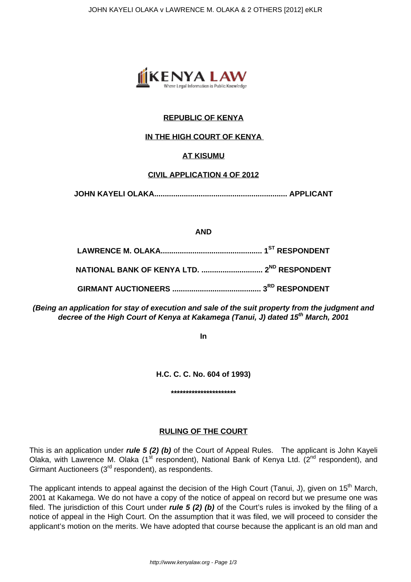

# **REPUBLIC OF KENYA**

# **IN THE HIGH COURT OF KENYA**

# **AT KISUMU**

# **CIVIL APPLICATION 4 OF 2012**

**JOHN KAYELI OLAKA............................................................... APPLICANT**

### **AND**

**(Being an application for stay of execution and sale of the suit property from the judgment and decree of the High Court of Kenya at Kakamega (Tanui, J) dated 15th March, 2001**

**In**

**H.C. C. C. No. 604 of 1993)**

# **\*\*\*\*\*\*\*\*\*\*\*\*\*\*\*\*\*\*\*\*\*\***

# **RULING OF THE COURT**

This is an application under **rule 5 (2) (b)** of the Court of Appeal Rules. The applicant is John Kayeli Olaka, with Lawrence M. Olaka  $(1^{st}$  respondent), National Bank of Kenya Ltd.  $(2^{nd}$  respondent), and Girmant Auctioneers (3<sup>rd</sup> respondent), as respondents.

The applicant intends to appeal against the decision of the High Court (Tanui, J), given on 15<sup>th</sup> March, 2001 at Kakamega. We do not have a copy of the notice of appeal on record but we presume one was filed. The jurisdiction of this Court under **rule 5 (2) (b)** of the Court's rules is invoked by the filing of a notice of appeal in the High Court. On the assumption that it was filed, we will proceed to consider the applicant's motion on the merits. We have adopted that course because the applicant is an old man and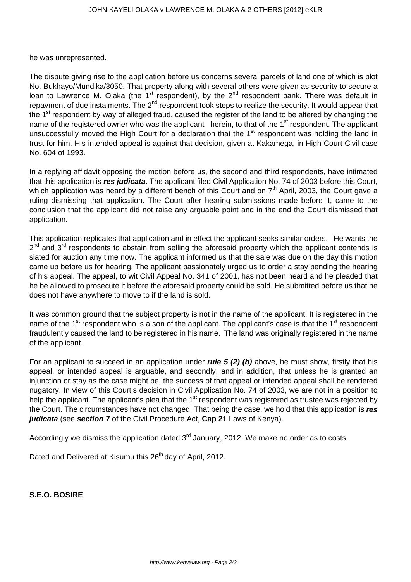he was unrepresented.

The dispute giving rise to the application before us concerns several parcels of land one of which is plot No. Bukhayo/Mundika/3050. That property along with several others were given as security to secure a loan to Lawrence M. Olaka (the  $1<sup>st</sup>$  respondent), by the  $2<sup>nd</sup>$  respondent bank. There was default in repayment of due instalments. The 2<sup>nd</sup> respondent took steps to realize the security. It would appear that the 1<sup>st</sup> respondent by way of alleged fraud, caused the register of the land to be altered by changing the name of the registered owner who was the applicant herein, to that of the 1<sup>st</sup> respondent. The applicant unsuccessfully moved the High Court for a declaration that the 1<sup>st</sup> respondent was holding the land in trust for him. His intended appeal is against that decision, given at Kakamega, in High Court Civil case No. 604 of 1993.

In a replying affidavit opposing the motion before us, the second and third respondents, have intimated that this application is **res judicata**. The applicant filed Civil Application No. 74 of 2003 before this Court, which application was heard by a different bench of this Court and on 7<sup>th</sup> April, 2003, the Court gave a ruling dismissing that application. The Court after hearing submissions made before it, came to the conclusion that the applicant did not raise any arguable point and in the end the Court dismissed that application.

This application replicates that application and in effect the applicant seeks similar orders. He wants the 2<sup>nd</sup> and 3<sup>rd</sup> respondents to abstain from selling the aforesaid property which the applicant contends is slated for auction any time now. The applicant informed us that the sale was due on the day this motion came up before us for hearing. The applicant passionately urged us to order a stay pending the hearing of his appeal. The appeal, to wit Civil Appeal No. 341 of 2001, has not been heard and he pleaded that he be allowed to prosecute it before the aforesaid property could be sold. He submitted before us that he does not have anywhere to move to if the land is sold.

It was common ground that the subject property is not in the name of the applicant. It is registered in the name of the  $1<sup>st</sup>$  respondent who is a son of the applicant. The applicant's case is that the  $1<sup>st</sup>$  respondent fraudulently caused the land to be registered in his name. The land was originally registered in the name of the applicant.

For an applicant to succeed in an application under **rule 5 (2) (b)** above, he must show, firstly that his appeal, or intended appeal is arguable, and secondly, and in addition, that unless he is granted an injunction or stay as the case might be, the success of that appeal or intended appeal shall be rendered nugatory. In view of this Court's decision in Civil Application No. 74 of 2003, we are not in a position to help the applicant. The applicant's plea that the 1<sup>st</sup> respondent was registered as trustee was rejected by the Court. The circumstances have not changed. That being the case, we hold that this application is **res judicata** (see **section 7** of the Civil Procedure Act, **Cap 21** Laws of Kenya).

Accordingly we dismiss the application dated  $3<sup>rd</sup>$  January, 2012. We make no order as to costs.

Dated and Delivered at Kisumu this 26<sup>th</sup> day of April, 2012.

**S.E.O. BOSIRE**